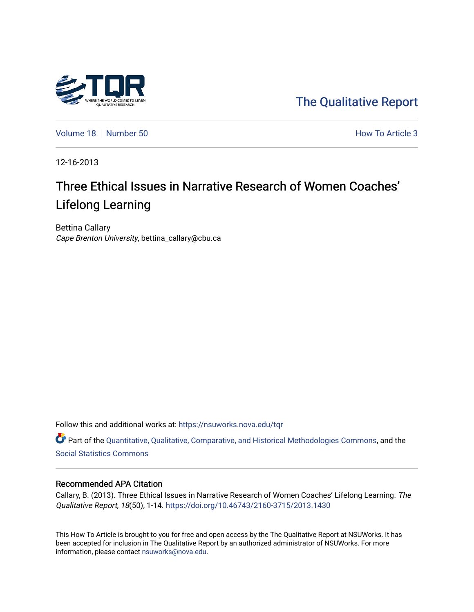

[The Qualitative Report](https://nsuworks.nova.edu/tqr) 

[Volume 18](https://nsuworks.nova.edu/tqr/vol18) [Number 50](https://nsuworks.nova.edu/tqr/vol18/iss50) **How To Article 3** How To Article 3

12-16-2013

# Three Ethical Issues in Narrative Research of Women Coaches' Lifelong Learning

Bettina Callary Cape Brenton University, bettina\_callary@cbu.ca

Follow this and additional works at: [https://nsuworks.nova.edu/tqr](https://nsuworks.nova.edu/tqr?utm_source=nsuworks.nova.edu%2Ftqr%2Fvol18%2Fiss50%2F3&utm_medium=PDF&utm_campaign=PDFCoverPages) 

Part of the [Quantitative, Qualitative, Comparative, and Historical Methodologies Commons,](http://network.bepress.com/hgg/discipline/423?utm_source=nsuworks.nova.edu%2Ftqr%2Fvol18%2Fiss50%2F3&utm_medium=PDF&utm_campaign=PDFCoverPages) and the [Social Statistics Commons](http://network.bepress.com/hgg/discipline/1275?utm_source=nsuworks.nova.edu%2Ftqr%2Fvol18%2Fiss50%2F3&utm_medium=PDF&utm_campaign=PDFCoverPages) 

#### Recommended APA Citation

Callary, B. (2013). Three Ethical Issues in Narrative Research of Women Coaches' Lifelong Learning. The Qualitative Report, 18(50), 1-14.<https://doi.org/10.46743/2160-3715/2013.1430>

This How To Article is brought to you for free and open access by the The Qualitative Report at NSUWorks. It has been accepted for inclusion in The Qualitative Report by an authorized administrator of NSUWorks. For more information, please contact [nsuworks@nova.edu.](mailto:nsuworks@nova.edu)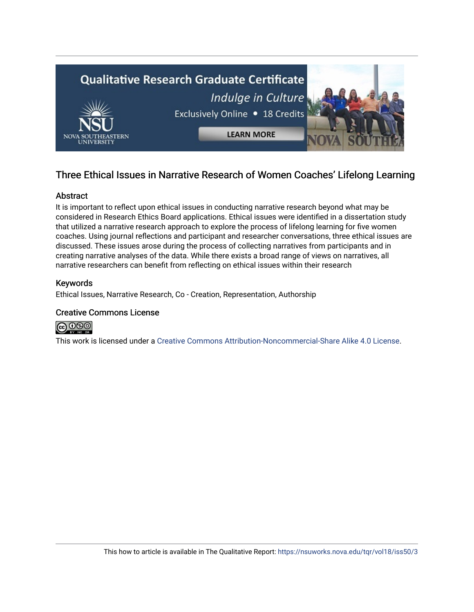

# Three Ethical Issues in Narrative Research of Women Coaches' Lifelong Learning

# Abstract

It is important to reflect upon ethical issues in conducting narrative research beyond what may be considered in Research Ethics Board applications. Ethical issues were identified in a dissertation study that utilized a narrative research approach to explore the process of lifelong learning for five women coaches. Using journal reflections and participant and researcher conversations, three ethical issues are discussed. These issues arose during the process of collecting narratives from participants and in creating narrative analyses of the data. While there exists a broad range of views on narratives, all narrative researchers can benefit from reflecting on ethical issues within their research

# Keywords

Ethical Issues, Narrative Research, Co - Creation, Representation, Authorship

# Creative Commons License



This work is licensed under a [Creative Commons Attribution-Noncommercial-Share Alike 4.0 License](https://creativecommons.org/licenses/by-nc-sa/4.0/).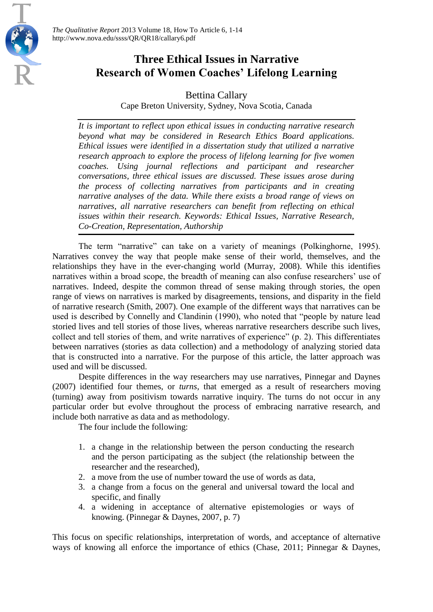REA



Bettina Callary Cape Breton University, Sydney, Nova Scotia, Canada

*It is important to reflect upon ethical issues in conducting narrative research beyond what may be considered in Research Ethics Board applications. Ethical issues were identified in a dissertation study that utilized a narrative research approach to explore the process of lifelong learning for five women coaches. Using journal reflections and participant and researcher conversations, three ethical issues are discussed. These issues arose during the process of collecting narratives from participants and in creating narrative analyses of the data. While there exists a broad range of views on narratives, all narrative researchers can benefit from reflecting on ethical issues within their research. Keywords: Ethical Issues, Narrative Research, Co-Creation, Representation, Authorship*

The term "narrative" can take on a variety of meanings (Polkinghorne, 1995). Narratives convey the way that people make sense of their world, themselves, and the relationships they have in the ever-changing world (Murray, 2008). While this identifies narratives within a broad scope, the breadth of meaning can also confuse researchers' use of narratives. Indeed, despite the common thread of sense making through stories, the open range of views on narratives is marked by disagreements, tensions, and disparity in the field of narrative research (Smith, 2007). One example of the different ways that narratives can be used is described by Connelly and Clandinin (1990), who noted that "people by nature lead storied lives and tell stories of those lives, whereas narrative researchers describe such lives, collect and tell stories of them, and write narratives of experience" (p. 2). This differentiates between narratives (stories as data collection) and a methodology of analyzing storied data that is constructed into a narrative. For the purpose of this article, the latter approach was used and will be discussed.

Despite differences in the way researchers may use narratives, Pinnegar and Daynes (2007) identified four themes, or *turns*, that emerged as a result of researchers moving (turning) away from positivism towards narrative inquiry. The turns do not occur in any particular order but evolve throughout the process of embracing narrative research, and include both narrative as data and as methodology.

The four include the following:

- 1. a change in the relationship between the person conducting the research and the person participating as the subject (the relationship between the researcher and the researched),
- 2. a move from the use of number toward the use of words as data,
- 3. a change from a focus on the general and universal toward the local and specific, and finally
- 4. a widening in acceptance of alternative epistemologies or ways of knowing. (Pinnegar & Daynes, 2007, p. 7)

This focus on specific relationships, interpretation of words, and acceptance of alternative ways of knowing all enforce the importance of ethics (Chase, 2011; Pinnegar & Daynes,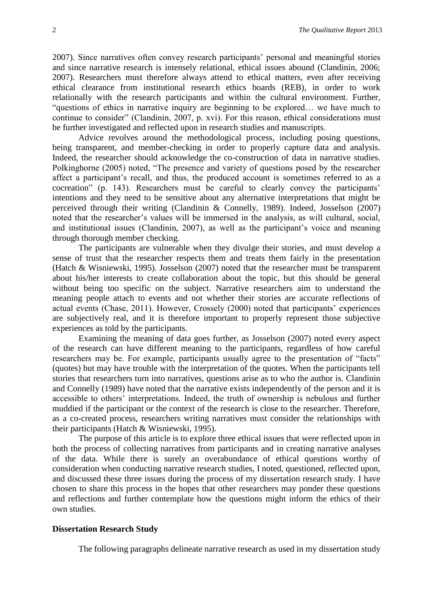2007). Since narratives often convey research participants' personal and meaningful stories and since narrative research is intensely relational, ethical issues abound (Clandinin, 2006; 2007). Researchers must therefore always attend to ethical matters, even after receiving ethical clearance from institutional research ethics boards (REB), in order to work relationally with the research participants and within the cultural environment. Further, "questions of ethics in narrative inquiry are beginning to be explored… we have much to continue to consider" (Clandinin, 2007, p. xvi). For this reason, ethical considerations must be further investigated and reflected upon in research studies and manuscripts.

Advice revolves around the methodological process, including posing questions, being transparent, and member-checking in order to properly capture data and analysis. Indeed, the researcher should acknowledge the co-construction of data in narrative studies. Polkinghorne (2005) noted, "The presence and variety of questions posed by the researcher affect a participant's recall, and thus, the produced account is sometimes referred to as a cocreation" (p. 143). Researchers must be careful to clearly convey the participants' intentions and they need to be sensitive about any alternative interpretations that might be perceived through their writing (Clandinin & Connelly, 1989). Indeed, Josselson (2007) noted that the researcher's values will be immersed in the analysis, as will cultural, social, and institutional issues (Clandinin, 2007), as well as the participant's voice and meaning through thorough member checking.

The participants are vulnerable when they divulge their stories, and must develop a sense of trust that the researcher respects them and treats them fairly in the presentation (Hatch & Wisniewski, 1995). Josselson (2007) noted that the researcher must be transparent about his/her interests to create collaboration about the topic, but this should be general without being too specific on the subject. Narrative researchers aim to understand the meaning people attach to events and not whether their stories are accurate reflections of actual events (Chase, 2011). However, Crossely (2000) noted that participants' experiences are subjectively real, and it is therefore important to properly represent those subjective experiences as told by the participants.

Examining the meaning of data goes further, as Josselson (2007) noted every aspect of the research can have different meaning to the participants, regardless of how careful researchers may be. For example, participants usually agree to the presentation of "facts" (quotes) but may have trouble with the interpretation of the quotes. When the participants tell stories that researchers turn into narratives, questions arise as to who the author is. Clandinin and Connelly (1989) have noted that the narrative exists independently of the person and it is accessible to others' interpretations. Indeed, the truth of ownership is nebulous and further muddied if the participant or the context of the research is close to the researcher. Therefore, as a co-created process, researchers writing narratives must consider the relationships with their participants (Hatch & Wisniewski, 1995).

The purpose of this article is to explore three ethical issues that were reflected upon in both the process of collecting narratives from participants and in creating narrative analyses of the data. While there is surely an overabundance of ethical questions worthy of consideration when conducting narrative research studies, I noted, questioned, reflected upon, and discussed these three issues during the process of my dissertation research study. I have chosen to share this process in the hopes that other researchers may ponder these questions and reflections and further contemplate how the questions might inform the ethics of their own studies.

# **Dissertation Research Study**

The following paragraphs delineate narrative research as used in my dissertation study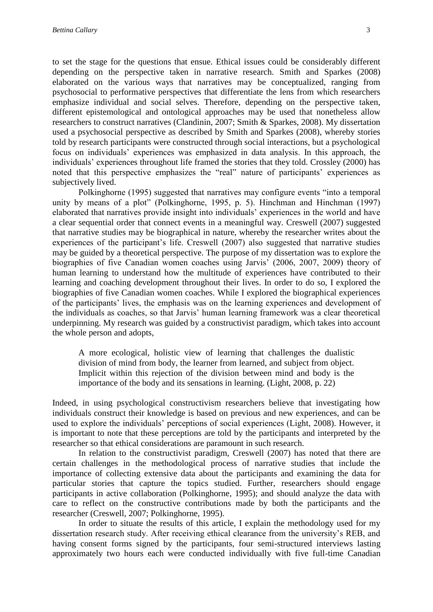to set the stage for the questions that ensue. Ethical issues could be considerably different depending on the perspective taken in narrative research. Smith and Sparkes (2008) elaborated on the various ways that narratives may be conceptualized, ranging from psychosocial to performative perspectives that differentiate the lens from which researchers emphasize individual and social selves. Therefore, depending on the perspective taken, different epistemological and ontological approaches may be used that nonetheless allow researchers to construct narratives (Clandinin, 2007; Smith & Sparkes, 2008). My dissertation used a psychosocial perspective as described by Smith and Sparkes (2008), whereby stories told by research participants were constructed through social interactions, but a psychological focus on individuals' experiences was emphasized in data analysis. In this approach, the individuals' experiences throughout life framed the stories that they told. Crossley (2000) has noted that this perspective emphasizes the "real" nature of participants' experiences as subjectively lived.

Polkinghorne (1995) suggested that narratives may configure events "into a temporal unity by means of a plot" (Polkinghorne, 1995, p. 5). Hinchman and Hinchman (1997) elaborated that narratives provide insight into individuals' experiences in the world and have a clear sequential order that connect events in a meaningful way. Creswell (2007) suggested that narrative studies may be biographical in nature, whereby the researcher writes about the experiences of the participant's life. Creswell (2007) also suggested that narrative studies may be guided by a theoretical perspective. The purpose of my dissertation was to explore the biographies of five Canadian women coaches using Jarvis' (2006, 2007, 2009) theory of human learning to understand how the multitude of experiences have contributed to their learning and coaching development throughout their lives. In order to do so, I explored the biographies of five Canadian women coaches. While I explored the biographical experiences of the participants' lives, the emphasis was on the learning experiences and development of the individuals as coaches, so that Jarvis' human learning framework was a clear theoretical underpinning. My research was guided by a constructivist paradigm, which takes into account the whole person and adopts,

A more ecological, holistic view of learning that challenges the dualistic division of mind from body, the learner from learned, and subject from object. Implicit within this rejection of the division between mind and body is the importance of the body and its sensations in learning. (Light, 2008, p. 22)

Indeed, in using psychological constructivism researchers believe that investigating how individuals construct their knowledge is based on previous and new experiences, and can be used to explore the individuals' perceptions of social experiences (Light, 2008). However, it is important to note that these perceptions are told by the participants and interpreted by the researcher so that ethical considerations are paramount in such research.

In relation to the constructivist paradigm, Creswell (2007) has noted that there are certain challenges in the methodological process of narrative studies that include the importance of collecting extensive data about the participants and examining the data for particular stories that capture the topics studied. Further, researchers should engage participants in active collaboration (Polkinghorne, 1995); and should analyze the data with care to reflect on the constructive contributions made by both the participants and the researcher (Creswell, 2007; Polkinghorne, 1995).

In order to situate the results of this article, I explain the methodology used for my dissertation research study. After receiving ethical clearance from the university's REB, and having consent forms signed by the participants, four semi-structured interviews lasting approximately two hours each were conducted individually with five full-time Canadian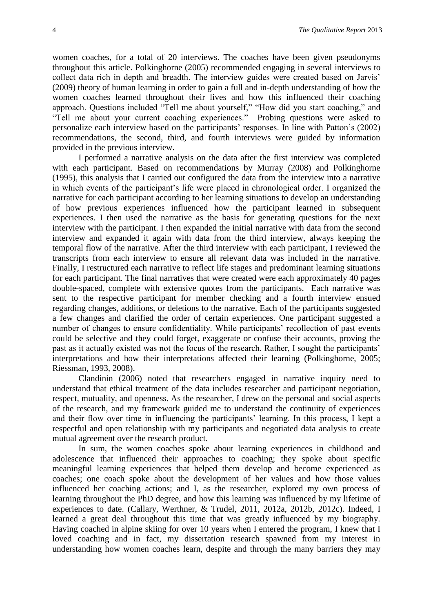women coaches, for a total of 20 interviews. The coaches have been given pseudonyms throughout this article. Polkinghorne (2005) recommended engaging in several interviews to collect data rich in depth and breadth. The interview guides were created based on Jarvis' (2009) theory of human learning in order to gain a full and in-depth understanding of how the women coaches learned throughout their lives and how this influenced their coaching approach. Questions included "Tell me about yourself," "How did you start coaching," and "Tell me about your current coaching experiences." Probing questions were asked to personalize each interview based on the participants' responses. In line with Patton's (2002) recommendations, the second, third, and fourth interviews were guided by information provided in the previous interview.

I performed a narrative analysis on the data after the first interview was completed with each participant. Based on recommendations by Murray (2008) and Polkinghorne (1995), this analysis that I carried out configured the data from the interview into a narrative in which events of the participant's life were placed in chronological order. I organized the narrative for each participant according to her learning situations to develop an understanding of how previous experiences influenced how the participant learned in subsequent experiences. I then used the narrative as the basis for generating questions for the next interview with the participant. I then expanded the initial narrative with data from the second interview and expanded it again with data from the third interview, always keeping the temporal flow of the narrative. After the third interview with each participant, I reviewed the transcripts from each interview to ensure all relevant data was included in the narrative. Finally, I restructured each narrative to reflect life stages and predominant learning situations for each participant. The final narratives that were created were each approximately 40 pages double-spaced, complete with extensive quotes from the participants. Each narrative was sent to the respective participant for member checking and a fourth interview ensued regarding changes, additions, or deletions to the narrative. Each of the participants suggested a few changes and clarified the order of certain experiences. One participant suggested a number of changes to ensure confidentiality. While participants' recollection of past events could be selective and they could forget, exaggerate or confuse their accounts, proving the past as it actually existed was not the focus of the research. Rather, I sought the participants' interpretations and how their interpretations affected their learning (Polkinghorne, 2005; Riessman, 1993, 2008).

Clandinin (2006) noted that researchers engaged in narrative inquiry need to understand that ethical treatment of the data includes researcher and participant negotiation, respect, mutuality, and openness. As the researcher, I drew on the personal and social aspects of the research, and my framework guided me to understand the continuity of experiences and their flow over time in influencing the participants' learning. In this process, I kept a respectful and open relationship with my participants and negotiated data analysis to create mutual agreement over the research product.

In sum, the women coaches spoke about learning experiences in childhood and adolescence that influenced their approaches to coaching; they spoke about specific meaningful learning experiences that helped them develop and become experienced as coaches; one coach spoke about the development of her values and how those values influenced her coaching actions; and I, as the researcher, explored my own process of learning throughout the PhD degree, and how this learning was influenced by my lifetime of experiences to date. (Callary, Werthner, & Trudel, 2011, 2012a, 2012b, 2012c). Indeed, I learned a great deal throughout this time that was greatly influenced by my biography. Having coached in alpine skiing for over 10 years when I entered the program, I knew that I loved coaching and in fact, my dissertation research spawned from my interest in understanding how women coaches learn, despite and through the many barriers they may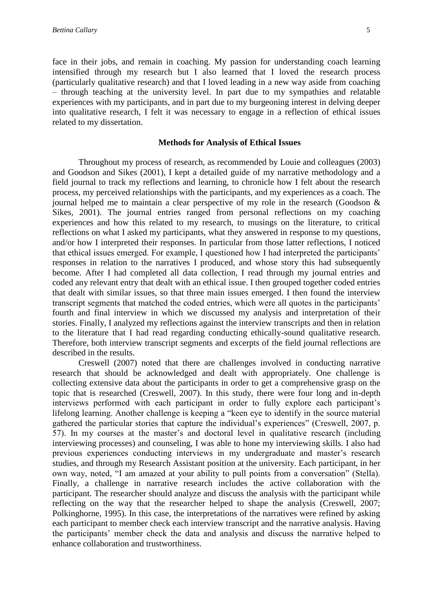face in their jobs, and remain in coaching. My passion for understanding coach learning intensified through my research but I also learned that I loved the research process

(particularly qualitative research) and that I loved leading in a new way aside from coaching – through teaching at the university level. In part due to my sympathies and relatable experiences with my participants, and in part due to my burgeoning interest in delving deeper into qualitative research, I felt it was necessary to engage in a reflection of ethical issues related to my dissertation.

#### **Methods for Analysis of Ethical Issues**

Throughout my process of research, as recommended by Louie and colleagues (2003) and Goodson and Sikes (2001), I kept a detailed guide of my narrative methodology and a field journal to track my reflections and learning, to chronicle how I felt about the research process, my perceived relationships with the participants, and my experiences as a coach. The journal helped me to maintain a clear perspective of my role in the research (Goodson & Sikes, 2001). The journal entries ranged from personal reflections on my coaching experiences and how this related to my research, to musings on the literature, to critical reflections on what I asked my participants, what they answered in response to my questions, and/or how I interpreted their responses. In particular from those latter reflections, I noticed that ethical issues emerged. For example, I questioned how I had interpreted the participants' responses in relation to the narratives I produced, and whose story this had subsequently become. After I had completed all data collection, I read through my journal entries and coded any relevant entry that dealt with an ethical issue. I then grouped together coded entries that dealt with similar issues, so that three main issues emerged. I then found the interview transcript segments that matched the coded entries, which were all quotes in the participants' fourth and final interview in which we discussed my analysis and interpretation of their stories. Finally, I analyzed my reflections against the interview transcripts and then in relation to the literature that I had read regarding conducting ethically-sound qualitative research. Therefore, both interview transcript segments and excerpts of the field journal reflections are described in the results.

Creswell (2007) noted that there are challenges involved in conducting narrative research that should be acknowledged and dealt with appropriately. One challenge is collecting extensive data about the participants in order to get a comprehensive grasp on the topic that is researched (Creswell, 2007). In this study, there were four long and in-depth interviews performed with each participant in order to fully explore each participant's lifelong learning. Another challenge is keeping a "keen eye to identify in the source material gathered the particular stories that capture the individual's experiences" (Creswell, 2007, p. 57). In my courses at the master's and doctoral level in qualitative research (including interviewing processes) and counseling, I was able to hone my interviewing skills. I also had previous experiences conducting interviews in my undergraduate and master's research studies, and through my Research Assistant position at the university. Each participant, in her own way, noted, "I am amazed at your ability to pull points from a conversation" (Stella). Finally, a challenge in narrative research includes the active collaboration with the participant. The researcher should analyze and discuss the analysis with the participant while reflecting on the way that the researcher helped to shape the analysis (Creswell, 2007; Polkinghorne, 1995). In this case, the interpretations of the narratives were refined by asking each participant to member check each interview transcript and the narrative analysis. Having the participants' member check the data and analysis and discuss the narrative helped to enhance collaboration and trustworthiness.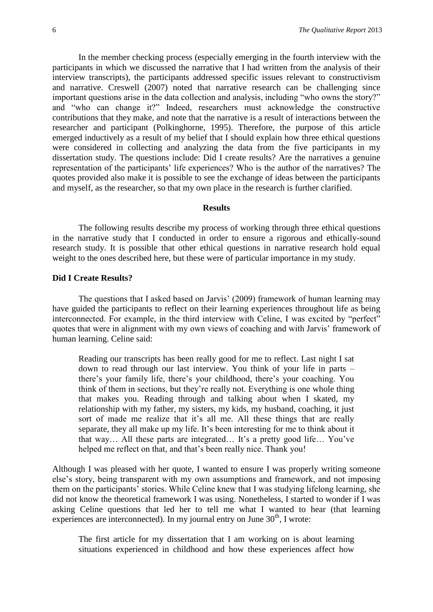In the member checking process (especially emerging in the fourth interview with the participants in which we discussed the narrative that I had written from the analysis of their interview transcripts), the participants addressed specific issues relevant to constructivism and narrative. Creswell (2007) noted that narrative research can be challenging since important questions arise in the data collection and analysis, including "who owns the story?" and "who can change it?" Indeed, researchers must acknowledge the constructive contributions that they make, and note that the narrative is a result of interactions between the researcher and participant (Polkinghorne, 1995). Therefore, the purpose of this article emerged inductively as a result of my belief that I should explain how three ethical questions were considered in collecting and analyzing the data from the five participants in my dissertation study. The questions include: Did I create results? Are the narratives a genuine representation of the participants' life experiences? Who is the author of the narratives? The quotes provided also make it is possible to see the exchange of ideas between the participants and myself, as the researcher, so that my own place in the research is further clarified.

#### **Results**

The following results describe my process of working through three ethical questions in the narrative study that I conducted in order to ensure a rigorous and ethically-sound research study. It is possible that other ethical questions in narrative research hold equal weight to the ones described here, but these were of particular importance in my study.

# **Did I Create Results?**

The questions that I asked based on Jarvis' (2009) framework of human learning may have guided the participants to reflect on their learning experiences throughout life as being interconnected. For example, in the third interview with Celine, I was excited by "perfect" quotes that were in alignment with my own views of coaching and with Jarvis' framework of human learning. Celine said:

Reading our transcripts has been really good for me to reflect. Last night I sat down to read through our last interview. You think of your life in parts – there's your family life, there's your childhood, there's your coaching. You think of them in sections, but they're really not. Everything is one whole thing that makes you. Reading through and talking about when I skated, my relationship with my father, my sisters, my kids, my husband, coaching, it just sort of made me realize that it's all me. All these things that are really separate, they all make up my life. It's been interesting for me to think about it that way… All these parts are integrated… It's a pretty good life… You've helped me reflect on that, and that's been really nice. Thank you!

Although I was pleased with her quote, I wanted to ensure I was properly writing someone else's story, being transparent with my own assumptions and framework, and not imposing them on the participants' stories. While Celine knew that I was studying lifelong learning, she did not know the theoretical framework I was using. Nonetheless, I started to wonder if I was asking Celine questions that led her to tell me what I wanted to hear (that learning experiences are interconnected). In my journal entry on June  $30<sup>th</sup>$ , I wrote:

The first article for my dissertation that I am working on is about learning situations experienced in childhood and how these experiences affect how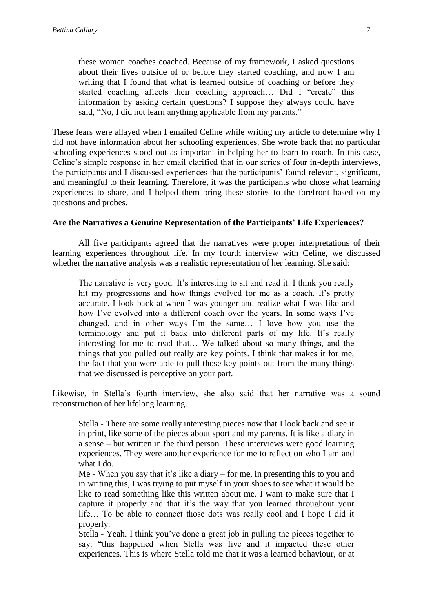these women coaches coached. Because of my framework, I asked questions about their lives outside of or before they started coaching, and now I am writing that I found that what is learned outside of coaching or before they started coaching affects their coaching approach… Did I "create" this information by asking certain questions? I suppose they always could have said, "No, I did not learn anything applicable from my parents."

These fears were allayed when I emailed Celine while writing my article to determine why I did not have information about her schooling experiences. She wrote back that no particular schooling experiences stood out as important in helping her to learn to coach. In this case, Celine's simple response in her email clarified that in our series of four in-depth interviews, the participants and I discussed experiences that the participants' found relevant, significant, and meaningful to their learning. Therefore, it was the participants who chose what learning experiences to share, and I helped them bring these stories to the forefront based on my questions and probes.

#### **Are the Narratives a Genuine Representation of the Participants' Life Experiences?**

All five participants agreed that the narratives were proper interpretations of their learning experiences throughout life. In my fourth interview with Celine, we discussed whether the narrative analysis was a realistic representation of her learning. She said:

The narrative is very good. It's interesting to sit and read it. I think you really hit my progressions and how things evolved for me as a coach. It's pretty accurate. I look back at when I was younger and realize what I was like and how I've evolved into a different coach over the years. In some ways I've changed, and in other ways I'm the same… I love how you use the terminology and put it back into different parts of my life. It's really interesting for me to read that… We talked about so many things, and the things that you pulled out really are key points. I think that makes it for me, the fact that you were able to pull those key points out from the many things that we discussed is perceptive on your part.

Likewise, in Stella's fourth interview, she also said that her narrative was a sound reconstruction of her lifelong learning.

Stella - There are some really interesting pieces now that I look back and see it in print, like some of the pieces about sport and my parents. It is like a diary in a sense – but written in the third person. These interviews were good learning experiences. They were another experience for me to reflect on who I am and what I do.

Me - When you say that it's like a diary – for me, in presenting this to you and in writing this, I was trying to put myself in your shoes to see what it would be like to read something like this written about me. I want to make sure that I capture it properly and that it's the way that you learned throughout your life… To be able to connect those dots was really cool and I hope I did it properly.

Stella - Yeah. I think you've done a great job in pulling the pieces together to say: "this happened when Stella was five and it impacted these other experiences. This is where Stella told me that it was a learned behaviour, or at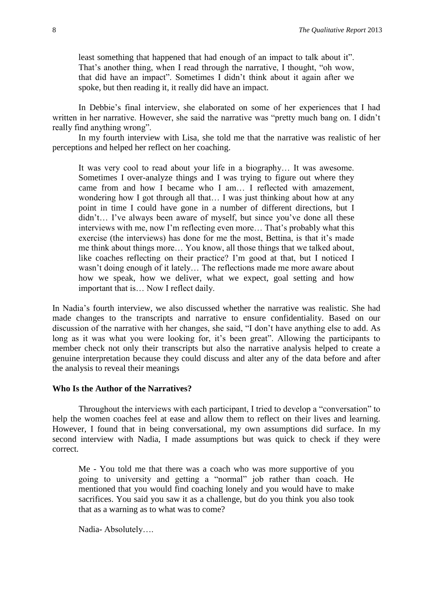least something that happened that had enough of an impact to talk about it". That's another thing, when I read through the narrative, I thought, "oh wow, that did have an impact". Sometimes I didn't think about it again after we spoke, but then reading it, it really did have an impact.

In Debbie's final interview, she elaborated on some of her experiences that I had written in her narrative. However, she said the narrative was "pretty much bang on. I didn't really find anything wrong".

In my fourth interview with Lisa, she told me that the narrative was realistic of her perceptions and helped her reflect on her coaching.

It was very cool to read about your life in a biography… It was awesome. Sometimes I over-analyze things and I was trying to figure out where they came from and how I became who I am… I reflected with amazement, wondering how I got through all that… I was just thinking about how at any point in time I could have gone in a number of different directions, but I didn't… I've always been aware of myself, but since you've done all these interviews with me, now I'm reflecting even more… That's probably what this exercise (the interviews) has done for me the most, Bettina, is that it's made me think about things more… You know, all those things that we talked about, like coaches reflecting on their practice? I'm good at that, but I noticed I wasn't doing enough of it lately… The reflections made me more aware about how we speak, how we deliver, what we expect, goal setting and how important that is… Now I reflect daily.

In Nadia's fourth interview, we also discussed whether the narrative was realistic. She had made changes to the transcripts and narrative to ensure confidentiality. Based on our discussion of the narrative with her changes, she said, "I don't have anything else to add. As long as it was what you were looking for, it's been great". Allowing the participants to member check not only their transcripts but also the narrative analysis helped to create a genuine interpretation because they could discuss and alter any of the data before and after the analysis to reveal their meanings

## **Who Is the Author of the Narratives?**

Throughout the interviews with each participant, I tried to develop a "conversation" to help the women coaches feel at ease and allow them to reflect on their lives and learning. However, I found that in being conversational, my own assumptions did surface. In my second interview with Nadia, I made assumptions but was quick to check if they were correct.

Me - You told me that there was a coach who was more supportive of you going to university and getting a "normal" job rather than coach. He mentioned that you would find coaching lonely and you would have to make sacrifices. You said you saw it as a challenge, but do you think you also took that as a warning as to what was to come?

Nadia- Absolutely….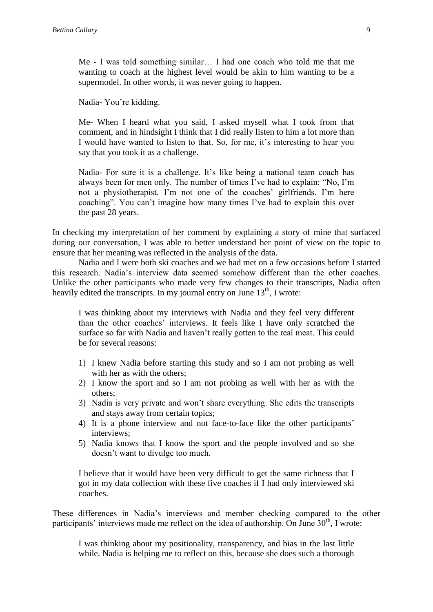Me - I was told something similar… I had one coach who told me that me wanting to coach at the highest level would be akin to him wanting to be a supermodel. In other words, it was never going to happen.

Nadia- You're kidding.

Me- When I heard what you said, I asked myself what I took from that comment, and in hindsight I think that I did really listen to him a lot more than I would have wanted to listen to that. So, for me, it's interesting to hear you say that you took it as a challenge.

Nadia- For sure it is a challenge. It's like being a national team coach has always been for men only. The number of times I've had to explain: "No, I'm not a physiotherapist. I'm not one of the coaches' girlfriends. I'm here coaching". You can't imagine how many times I've had to explain this over the past 28 years.

In checking my interpretation of her comment by explaining a story of mine that surfaced during our conversation, I was able to better understand her point of view on the topic to ensure that her meaning was reflected in the analysis of the data.

Nadia and I were both ski coaches and we had met on a few occasions before I started this research. Nadia's interview data seemed somehow different than the other coaches. Unlike the other participants who made very few changes to their transcripts, Nadia often heavily edited the transcripts. In my journal entry on June  $13<sup>th</sup>$ , I wrote:

I was thinking about my interviews with Nadia and they feel very different than the other coaches' interviews. It feels like I have only scratched the surface so far with Nadia and haven't really gotten to the real meat. This could be for several reasons:

- 1) I knew Nadia before starting this study and so I am not probing as well with her as with the others;
- 2) I know the sport and so I am not probing as well with her as with the others;
- 3) Nadia is very private and won't share everything. She edits the transcripts and stays away from certain topics;
- 4) It is a phone interview and not face-to-face like the other participants' interviews;
- 5) Nadia knows that I know the sport and the people involved and so she doesn't want to divulge too much.

I believe that it would have been very difficult to get the same richness that I got in my data collection with these five coaches if I had only interviewed ski coaches.

These differences in Nadia's interviews and member checking compared to the other participants' interviews made me reflect on the idea of authorship. On June  $30<sup>th</sup>$ , I wrote:

I was thinking about my positionality, transparency, and bias in the last little while. Nadia is helping me to reflect on this, because she does such a thorough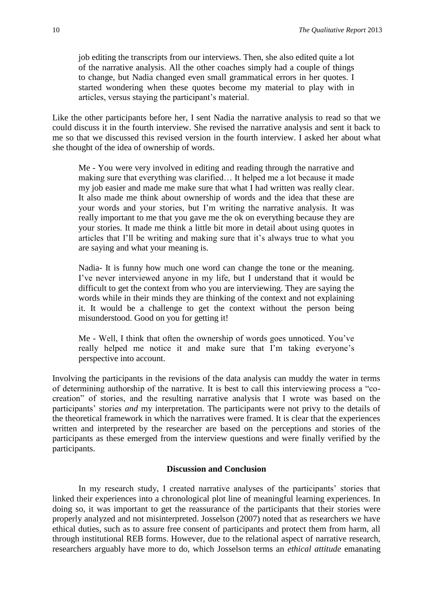job editing the transcripts from our interviews. Then, she also edited quite a lot of the narrative analysis. All the other coaches simply had a couple of things to change, but Nadia changed even small grammatical errors in her quotes. I started wondering when these quotes become my material to play with in articles, versus staying the participant's material.

Like the other participants before her, I sent Nadia the narrative analysis to read so that we could discuss it in the fourth interview. She revised the narrative analysis and sent it back to me so that we discussed this revised version in the fourth interview. I asked her about what she thought of the idea of ownership of words.

Me - You were very involved in editing and reading through the narrative and making sure that everything was clarified… It helped me a lot because it made my job easier and made me make sure that what I had written was really clear. It also made me think about ownership of words and the idea that these are your words and your stories, but I'm writing the narrative analysis. It was really important to me that you gave me the ok on everything because they are your stories. It made me think a little bit more in detail about using quotes in articles that I'll be writing and making sure that it's always true to what you are saying and what your meaning is.

Nadia- It is funny how much one word can change the tone or the meaning. I've never interviewed anyone in my life, but I understand that it would be difficult to get the context from who you are interviewing. They are saying the words while in their minds they are thinking of the context and not explaining it. It would be a challenge to get the context without the person being misunderstood. Good on you for getting it!

Me - Well, I think that often the ownership of words goes unnoticed. You've really helped me notice it and make sure that I'm taking everyone's perspective into account.

Involving the participants in the revisions of the data analysis can muddy the water in terms of determining authorship of the narrative. It is best to call this interviewing process a "cocreation" of stories, and the resulting narrative analysis that I wrote was based on the participants' stories *and* my interpretation. The participants were not privy to the details of the theoretical framework in which the narratives were framed. It is clear that the experiences written and interpreted by the researcher are based on the perceptions and stories of the participants as these emerged from the interview questions and were finally verified by the participants.

#### **Discussion and Conclusion**

In my research study, I created narrative analyses of the participants' stories that linked their experiences into a chronological plot line of meaningful learning experiences. In doing so, it was important to get the reassurance of the participants that their stories were properly analyzed and not misinterpreted. Josselson (2007) noted that as researchers we have ethical duties, such as to assure free consent of participants and protect them from harm, all through institutional REB forms. However, due to the relational aspect of narrative research, researchers arguably have more to do, which Josselson terms an *ethical attitude* emanating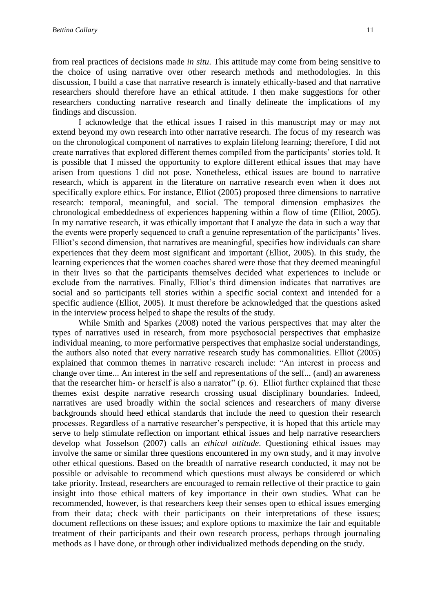from real practices of decisions made *in situ*. This attitude may come from being sensitive to the choice of using narrative over other research methods and methodologies. In this discussion, I build a case that narrative research is innately ethically-based and that narrative researchers should therefore have an ethical attitude. I then make suggestions for other researchers conducting narrative research and finally delineate the implications of my findings and discussion.

I acknowledge that the ethical issues I raised in this manuscript may or may not extend beyond my own research into other narrative research. The focus of my research was on the chronological component of narratives to explain lifelong learning; therefore, I did not create narratives that explored different themes compiled from the participants' stories told. It is possible that I missed the opportunity to explore different ethical issues that may have arisen from questions I did not pose. Nonetheless, ethical issues are bound to narrative research, which is apparent in the literature on narrative research even when it does not specifically explore ethics. For instance, Elliot (2005) proposed three dimensions to narrative research: temporal, meaningful, and social. The temporal dimension emphasizes the chronological embeddedness of experiences happening within a flow of time (Elliot, 2005). In my narrative research, it was ethically important that I analyze the data in such a way that the events were properly sequenced to craft a genuine representation of the participants' lives. Elliot's second dimension, that narratives are meaningful, specifies how individuals can share experiences that they deem most significant and important (Elliot, 2005). In this study, the learning experiences that the women coaches shared were those that they deemed meaningful in their lives so that the participants themselves decided what experiences to include or exclude from the narratives. Finally, Elliot's third dimension indicates that narratives are social and so participants tell stories within a specific social context and intended for a specific audience (Elliot, 2005). It must therefore be acknowledged that the questions asked in the interview process helped to shape the results of the study.

While Smith and Sparkes (2008) noted the various perspectives that may alter the types of narratives used in research, from more psychosocial perspectives that emphasize individual meaning, to more performative perspectives that emphasize social understandings, the authors also noted that every narrative research study has commonalities. Elliot (2005) explained that common themes in narrative research include: "An interest in process and change over time... An interest in the self and representations of the self... (and) an awareness that the researcher him- or herself is also a narrator" (p. 6). Elliot further explained that these themes exist despite narrative research crossing usual disciplinary boundaries. Indeed, narratives are used broadly within the social sciences and researchers of many diverse backgrounds should heed ethical standards that include the need to question their research processes. Regardless of a narrative researcher's perspective, it is hoped that this article may serve to help stimulate reflection on important ethical issues and help narrative researchers develop what Josselson (2007) calls an *ethical attitude*. Questioning ethical issues may involve the same or similar three questions encountered in my own study, and it may involve other ethical questions. Based on the breadth of narrative research conducted, it may not be possible or advisable to recommend which questions must always be considered or which take priority. Instead, researchers are encouraged to remain reflective of their practice to gain insight into those ethical matters of key importance in their own studies. What can be recommended, however, is that researchers keep their senses open to ethical issues emerging from their data; check with their participants on their interpretations of these issues; document reflections on these issues; and explore options to maximize the fair and equitable treatment of their participants and their own research process, perhaps through journaling methods as I have done, or through other individualized methods depending on the study.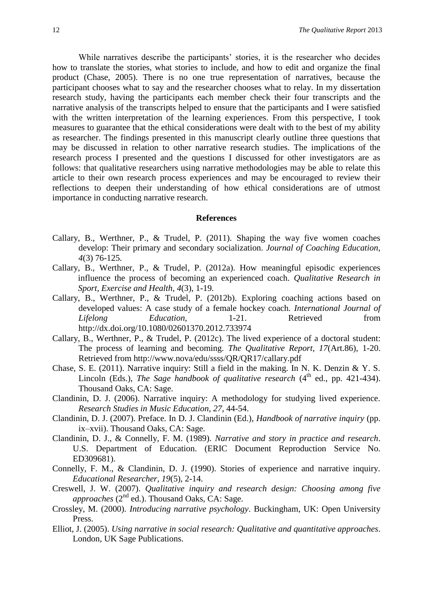While narratives describe the participants' stories, it is the researcher who decides how to translate the stories, what stories to include, and how to edit and organize the final product (Chase, 2005). There is no one true representation of narratives, because the participant chooses what to say and the researcher chooses what to relay. In my dissertation research study, having the participants each member check their four transcripts and the narrative analysis of the transcripts helped to ensure that the participants and I were satisfied with the written interpretation of the learning experiences. From this perspective, I took measures to guarantee that the ethical considerations were dealt with to the best of my ability as researcher. The findings presented in this manuscript clearly outline three questions that may be discussed in relation to other narrative research studies. The implications of the research process I presented and the questions I discussed for other investigators are as follows: that qualitative researchers using narrative methodologies may be able to relate this article to their own research process experiences and may be encouraged to review their reflections to deepen their understanding of how ethical considerations are of utmost importance in conducting narrative research.

#### **References**

- Callary, B., Werthner, P., & Trudel, P. (2011). Shaping the way five women coaches develop: Their primary and secondary socialization. *Journal of Coaching Education, 4*(3) 76-125*.*
- Callary, B., Werthner, P., & Trudel, P. (2012a). How meaningful episodic experiences influence the process of becoming an experienced coach. *Qualitative Research in Sport, Exercise and Health, 4*(3), 1-19*.*
- Callary, B., Werthner, P., & Trudel, P. (2012b). Exploring coaching actions based on developed values: A case study of a female hockey coach*. International Journal of Lifelong Education,* 1-21. Retrieved from http://dx.doi.org/10.1080/02601370.2012.733974
- Callary, B., Werthner, P., & Trudel, P. (2012c). The lived experience of a doctoral student: The process of learning and becoming. *The Qualitative Report, 17*(Art.86), 1-20. Retrieved from http://www.nova/edu/ssss/QR/QR17/callary.pdf
- Chase, S. E. (2011). Narrative inquiry: Still a field in the making. In N. K. Denzin & Y. S. Lincoln (Eds.), *The Sage handbook of qualitative research* (4<sup>th</sup> ed., pp. 421-434). Thousand Oaks, CA: Sage.
- Clandinin, D. J. (2006). Narrative inquiry: A methodology for studying lived experience. *Research Studies in Music Education, 27*, 44-54.
- Clandinin, D. J. (2007). Preface. In D. J. Clandinin (Ed.), *Handbook of narrative inquiry* (pp. ix–xvii). Thousand Oaks, CA: Sage.
- Clandinin, D. J., & Connelly, F. M. (1989). *Narrative and story in practice and research*. U.S. Department of Education. (ERIC Document Reproduction Service No. ED309681).
- Connelly, F. M., & Clandinin, D. J. (1990). Stories of experience and narrative inquiry. *Educational Researcher, 19*(5), 2-14.
- Creswell, J. W. (2007). *Qualitative inquiry and research design: Choosing among five approaches* (2<sup>nd</sup> ed.). Thousand Oaks, CA: Sage.
- Crossley, M. (2000). *Introducing narrative psychology*. Buckingham, UK: Open University Press.
- Elliot, J. (2005). *Using narrative in social research: Qualitative and quantitative approaches*. London, UK Sage Publications.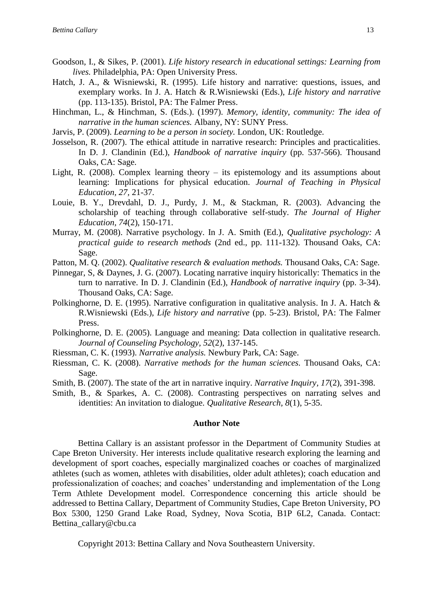- Goodson, I., & Sikes, P. (2001). *Life history research in educational settings: Learning from lives.* Philadelphia, PA: Open University Press.
- Hatch, J. A., & Wisniewski, R. (1995). Life history and narrative: questions, issues, and exemplary works. In J. A. Hatch & R.Wisniewski (Eds.), *Life history and narrative* (pp. 113-135). Bristol, PA: The Falmer Press.
- Hinchman, L., & Hinchman, S. (Eds.). (1997). *Memory, identity, community: The idea of narrative in the human sciences.* Albany, NY: SUNY Press.
- Jarvis, P. (2009). *Learning to be a person in society.* London, UK: Routledge.
- Josselson, R. (2007). The ethical attitude in narrative research: Principles and practicalities. In D. J. Clandinin (Ed.), *Handbook of narrative inquiry* (pp. 537-566). Thousand Oaks, CA: Sage.
- Light, R. (2008). Complex learning theory its epistemology and its assumptions about learning: Implications for physical education. *Journal of Teaching in Physical Education, 27,* 21-37.
- Louie, B. Y., Drevdahl, D. J., Purdy, J. M., & Stackman, R. (2003). Advancing the scholarship of teaching through collaborative self-study. *The Journal of Higher Education, 74*(2), 150-171.
- Murray, M. (2008). Narrative psychology. In J. A. Smith (Ed.), *Qualitative psychology: A practical guide to research methods* (2nd ed., pp. 111-132). Thousand Oaks, CA: Sage.
- Patton, M. Q. (2002). *Qualitative research & evaluation methods.* Thousand Oaks, CA: Sage.
- Pinnegar, S, & Daynes, J. G. (2007). Locating narrative inquiry historically: Thematics in the turn to narrative. In D. J. Clandinin (Ed.), *Handbook of narrative inquiry* (pp. 3-34). Thousand Oaks, CA: Sage.
- Polkinghorne, D. E. (1995). Narrative configuration in qualitative analysis. In J. A. Hatch & R.Wisniewski (Eds.), *Life history and narrative* (pp. 5-23). Bristol, PA: The Falmer Press.
- Polkinghorne, D. E. (2005). Language and meaning: Data collection in qualitative research. *Journal of Counseling Psychology, 52*(2), 137-145.
- Riessman, C. K. (1993). *Narrative analysis.* Newbury Park, CA: Sage.
- Riessman, C. K. (2008). *Narrative methods for the human sciences.* Thousand Oaks, CA: Sage.
- Smith, B. (2007). The state of the art in narrative inquiry. *Narrative Inquiry, 17*(2)*,* 391-398.
- Smith, B., & Sparkes, A. C. (2008). Contrasting perspectives on narrating selves and identities: An invitation to dialogue. *Qualitative Research, 8*(1), 5-35.

#### **Author Note**

Bettina Callary is an assistant professor in the Department of Community Studies at Cape Breton University. Her interests include qualitative research exploring the learning and development of sport coaches, especially marginalized coaches or coaches of marginalized athletes (such as women, athletes with disabilities, older adult athletes); coach education and professionalization of coaches; and coaches' understanding and implementation of the Long Term Athlete Development model. Correspondence concerning this article should be addressed to Bettina Callary, Department of Community Studies, Cape Breton University, PO Box 5300, 1250 Grand Lake Road, Sydney, Nova Scotia, B1P 6L2, Canada. Contact: Bettina\_callary@cbu.ca

Copyright 2013: Bettina Callary and Nova Southeastern University.